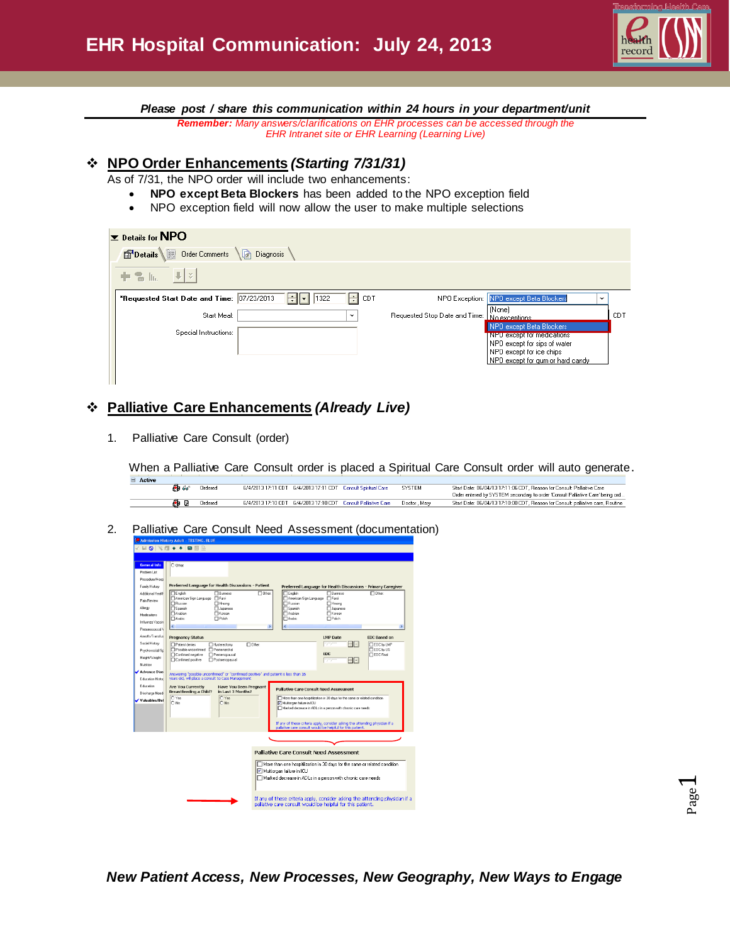

*Please post / share this communication within 24 hours in your department/unit*

*Remember: Many answers/clarifications on EHR processes can be accessed through the EHR Intranet site or EHR Learning (Learning Live)*

## **NPO Order Enhancements** *(Starting 7/31/31)*

As of 7/31, the NPO order will include two enhancements:

- **NPO except Beta Blockers** has been added to the NPO exception field
- NPO exception field will now allow the user to make multiple selections

| $\blacktriangleright$ Details for NPO<br>Details Order Comments | <b>A</b> Diagnosis |                   |                 |                               |                                                                                                                                                        |      |
|-----------------------------------------------------------------|--------------------|-------------------|-----------------|-------------------------------|--------------------------------------------------------------------------------------------------------------------------------------------------------|------|
| $  \Downarrow  $ $\vee$<br>十名际                                  |                    |                   |                 |                               |                                                                                                                                                        |      |
| *Requested Start Date and Time: 07/23/2013                      |                    | 1322<br>÷<br>∣I≖I | ÷<br><b>CDT</b> |                               | NPO Exception: NPO except Beta Blockers<br>$\check{ }$                                                                                                 |      |
| Start Meal:                                                     |                    |                   | v               | Requested Stop Date and Time: | [None]<br>No exceptions.                                                                                                                               | CDT. |
| Special Instructions:                                           |                    |                   |                 |                               | NPO except Beta Blockers<br>NPU except for medications<br>NPO except for sips of water<br>NPO except for ice chips<br>NPO except for gum or hard candy |      |

# **Palliative Care Enhancements** *(Already Live)*

1. Palliative Care Consult (order)

When a Palliative Care Consult order is placed a Spiritual Care Consult order will auto generate.

| <b>E</b> Active |       |         |  |                                                               |             |                                                                                                                                                          |
|-----------------|-------|---------|--|---------------------------------------------------------------|-------------|----------------------------------------------------------------------------------------------------------------------------------------------------------|
|                 | FD 66 | Ordered |  | 6/4/2013 17:11 CDT 6/4/2013 17:11 CDT Consult Spiritual Care  | SYSTEM      | Start Date: 06/04/13 17:11:06 CDT. Reason for Consult: Palliative Care<br>Order entered by SYSTEM secondary to order 'Consult Palliative Care' being ord |
|                 |       | Ordered |  | 6/4/2013 17:10 CDT 6/4/2013 17:10 CDT Consult Palliative Care | Doctor Mary | Start Date: 06/04/13 17:10:00 CDT, Reason for Consult: palliative care, Routine                                                                          |

2. Palliative Care Consult Need Assessment (documentation)

|                     | e - Admission History Adult - TESTING, BLUE                                                                                                |                     |
|---------------------|--------------------------------------------------------------------------------------------------------------------------------------------|---------------------|
|                     | <b>√ H Q   ҈ ∏ ← + B H</b> A                                                                                                               |                     |
|                     |                                                                                                                                            |                     |
| <b>General Info</b> | C Other                                                                                                                                    |                     |
| Problem List        |                                                                                                                                            |                     |
| Procedure/Hosp      |                                                                                                                                            |                     |
| Family History      | Preferred Language for Health Discussions - Patient<br>Preferred Language for Health Discussions - Primary Caregiver                       |                     |
| Additional Health   | $\Box$ English<br><b>Fi</b> Burmese<br><b>ITI Other:</b><br><b>IT</b> English<br><b>C</b> Burnese                                          | <b>ITO</b> Other:   |
| Pain Review         | American Sign Language<br>Farsi<br>American Sign Language F Farsi<br>Russian<br><b>Mussian</b><br>$\Box$ Hmong<br>$\Box$ Hmong             |                     |
| Allergy             | Spanish<br><b>N</b> Spanish<br>Japanese<br><b>I</b> Uapanese                                                                               |                     |
| Medications         | Arabian<br><b>T</b> Korean<br><b>MArabian</b><br>Korean                                                                                    |                     |
| Influenza Vaccin    | $\Box$ Poish<br><b>FlAnbic</b><br><b>IT</b> Polish<br><b>Mabic</b>                                                                         |                     |
| Pneumococcal V      | $\epsilon$<br>$\rightarrow$                                                                                                                |                     |
| Anesth/Transfus     | <b>Pregnancy Status</b><br><b>LMP</b> Date                                                                                                 | <b>EDC Based on</b> |
| Social History      | mpaper<br>- -<br>FIP atient denies<br><b>Fl</b> Other:<br>Hysterectomy                                                                     | <b>FIEDC by LMP</b> |
| Psychosocial/Sc     | Fl Possible unconfirmed Fl Premenarchal                                                                                                    | <b>FIEDC</b> by US  |
| Height/Weight       | <b>EDC</b><br>Confirmed negative<br>Premenopausal<br>Confirmed positive<br>Postmenopausal<br>F 1 - 1<br>mpopo                              | <b>FIEDC Final</b>  |
| Nutrition           |                                                                                                                                            |                     |
| <b>Advance Dire</b> |                                                                                                                                            |                     |
| Education Histor    | Answering "possible unconfirmed" or "confirmed positive" and patient is less than 16<br>years old, will place a consult to Case Management |                     |
| Education           | <b>Have You Been Pregnant</b><br><b>Are You Currently</b><br><b>Palliative Care Consult Need Assessment</b>                                |                     |
| Discharge Need:     | in Last 3 Months?<br>Breastfeeding a Child?<br>O Yes<br>O Yes                                                                              |                     |
| Valuables/Bel       | More than one hospitilization in 30 days for the same or related condition<br>$\bigcap$ No<br>$\bigcap$ No<br>Multicrgan failure in ICU    |                     |
|                     | Marked decrease in ADLs in a person with chronic care needs                                                                                |                     |
|                     |                                                                                                                                            |                     |
|                     | If any of these criteria apply, consider asking the attending physician if a                                                               |                     |
|                     | pallative care consult would be helpful for this patient.                                                                                  |                     |
|                     |                                                                                                                                            |                     |
|                     |                                                                                                                                            |                     |
|                     | <b>Palliative Care Consult Need Assessment</b>                                                                                             |                     |
|                     |                                                                                                                                            |                     |
|                     | More than one hospitilization in 30 days for the same or related condition                                                                 |                     |
|                     | Multiorgan failure in ICU                                                                                                                  |                     |
|                     | Marked decrease in ADLs in a person with chronic care needs                                                                                |                     |
|                     |                                                                                                                                            |                     |
|                     |                                                                                                                                            |                     |
|                     | If any of these criteria apply, consider asking the attending physician if a<br>paliative care consult would be helpful for this patient.  |                     |
|                     |                                                                                                                                            |                     |
|                     |                                                                                                                                            |                     |